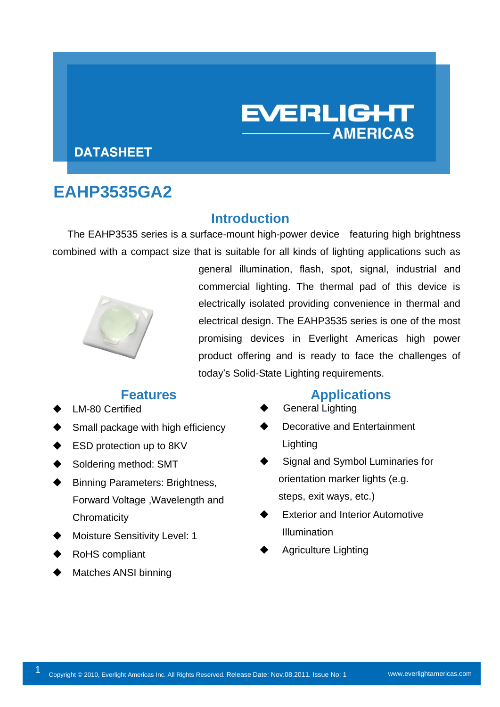# **EVERLIGHT AMERICAS**

#### **DATASHEET**

# **EAHP3535GA2**

#### **Introduction**

The EAHP3535 series is a surface-mount high-power device featuring high brightness combined with a compact size that is suitable for all kinds of lighting applications such as



general illumination, flash, spot, signal, industrial and commercial lighting. The thermal pad of this device is electrically isolated providing convenience in thermal and electrical design. The EAHP3535 series is one of the most promising devices in Everlight Americas high power product offering and is ready to face the challenges of today's Solid-State Lighting requirements.

- LM-80 Certified
- Small package with high efficiency
- ESD protection up to 8KV
- Soldering method: SMT
- Binning Parameters: Brightness, Forward Voltage ,Wavelength and **Chromaticity**
- Moisture Sensitivity Level: 1
- RoHS compliant
- Matches ANSI binning

#### **Features Applications**

- General Lighting
- Decorative and Entertainment **Lighting**
- Signal and Symbol Luminaries for orientation marker lights (e.g. steps, exit ways, etc.)
- Exterior and Interior Automotive Illumination
- Agriculture Lighting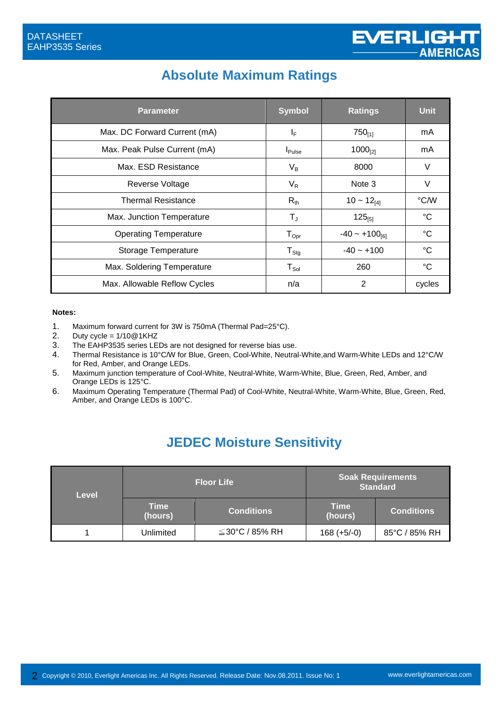### **Absolute Maximum Ratings**

| <b>Parameter</b>             | <b>Symbol</b>                | <b>Ratings</b>               | <b>Unit</b>     |
|------------------------------|------------------------------|------------------------------|-----------------|
| Max. DC Forward Current (mA) | $I_F$                        | $750_{[1]}$                  | mA              |
| Max. Peak Pulse Current (mA) | $I_{\mathsf{Pulse}}$         | $1000_{[2]}$                 | mA              |
| Max. ESD Resistance          | $V_B$                        | 8000                         | V               |
| Reverse Voltage              | $V_{R}$                      | Note 3                       | ٧               |
| Thermal Resistance           | $R_{th}$                     | $10 \sim 12_{[4]}$           | °C/W            |
| Max. Junction Temperature    | T,                           | $125_{[5]}$                  | °C              |
| <b>Operating Temperature</b> | ${\mathsf T}_{\mathsf{Opt}}$ | $-40 \sim +100_{\text{[6]}}$ | $^{\circ}C$     |
| Storage Temperature          | $T_{\text{Stg}}$             | $-40 - +100$                 | $^{\circ}C$     |
| Max. Soldering Temperature   | $T_{\textrm{Sol}}$           | 260                          | $\rm ^{\circ}C$ |
| Max. Allowable Reflow Cycles | n/a                          | 2                            | cycles          |

#### **Notes:**

- 1. Maximum forward current for 3W is 750mA (Thermal Pad=25°C).
- 2. Duty cycle =  $1/10@1K$ HZ
- 3. The EAHP3535 series LEDs are not designed for reverse bias use.
- 4. Thermal Resistance is 10°C/W for Blue, Green, Cool-White, Neutral-White,and Warm-White LEDs and 12°C/W for Red, Amber, and Orange LEDs.
- 5. Maximum junction temperature of Cool-White, Neutral-White, Warm-White, Blue, Green, Red, Amber, and Orange LEDs is 125°C.
- 6. Maximum Operating Temperature (Thermal Pad) of Cool-White, Neutral-White, Warm-White, Blue, Green, Red, Amber, and Orange LEDs is 100°C.

### **JEDEC Moisture Sensitivity**

| Level                  |           | <b>Floor Life</b>    |                        | <b>Soak Requirements</b><br><b>Standard</b> |
|------------------------|-----------|----------------------|------------------------|---------------------------------------------|
| <b>Time</b><br>(hours) |           | <b>Conditions</b>    | <b>Time</b><br>(hours) | <b>Conditions</b>                           |
|                        | Unlimited | $\leq$ 30°C / 85% RH | $168 (+5/-0)$          | 85°C / 85% RH                               |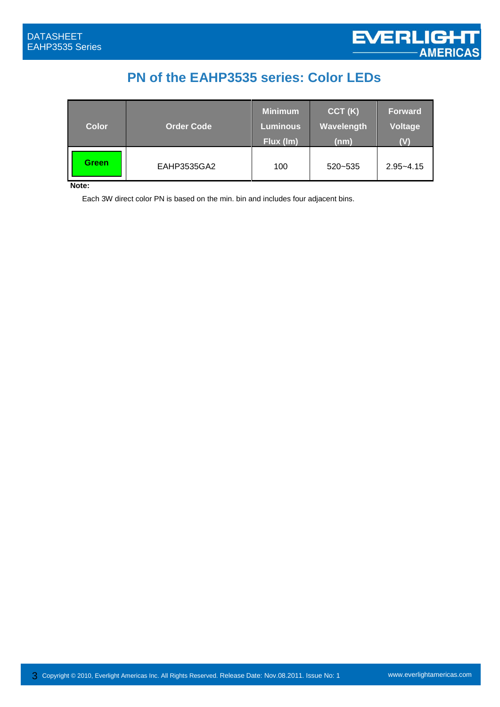### **PN of the EAHP3535 series: Color LEDs**

| <b>Color</b> | <b>Order Code</b> | <b>Minimum</b><br><b>Luminous</b><br>Flux (Im) | CCT(K)<br>Wavelength<br>(nm) | <b>Forward</b><br><b>Voltage</b><br>$(\mathsf{V})$ |
|--------------|-------------------|------------------------------------------------|------------------------------|----------------------------------------------------|
| <b>Green</b> | EAHP3535GA2       | 100                                            | 520~535                      | $2.95 - 4.15$                                      |

**Note:** 

Each 3W direct color PN is based on the min. bin and includes four adjacent bins.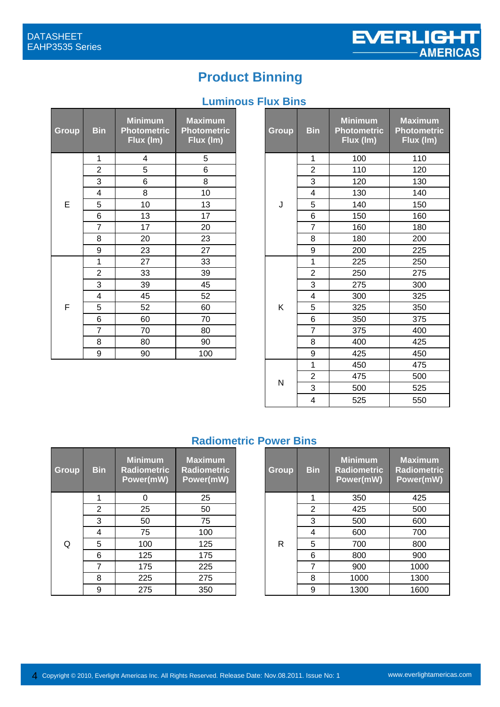# **Product Binning**

### **Luminous Flux Bins**

| Group | <b>Bin</b>     | <b>Minimum</b><br><b>Photometric</b><br>Flux (Im) | <b>Maximum</b><br><b>Photometric</b><br>Flux (Im) |
|-------|----------------|---------------------------------------------------|---------------------------------------------------|
|       | 1              | 4                                                 | 5                                                 |
|       | $\overline{2}$ | 5                                                 | 6                                                 |
|       | 3              | 6                                                 | 8                                                 |
|       | 4              | 8                                                 | 10                                                |
| E     | 5              | 10                                                | 13                                                |
|       | 6              | 13                                                | 17                                                |
|       | 7              | 17                                                | 20                                                |
|       | 8              | 20                                                | 23                                                |
|       | 9              | 23                                                | 27                                                |
|       | 1              | 27                                                | 33                                                |
|       | $\overline{2}$ | 33                                                | 39                                                |
|       | 3              | 39                                                | 45                                                |
|       | 4              | 45                                                | 52                                                |
| F     | 5              | 52                                                | 60                                                |
|       | 6              | 60                                                | 70                                                |
|       | 7              | 70                                                | 80                                                |
|       | 8              | 80                                                | 90                                                |
|       | 9              | 90                                                | 100                                               |

| in                        | <b>Minimum</b><br><b>Photometric</b><br>Flux (Im) | <b>Maximum</b><br><b>Photometric</b><br>Flux (Im) | Group | <b>Bin</b>              | <b>Minimum</b><br><b>Photometric</b><br>Flux (Im) | <b>Maximum</b><br><b>Photometric</b><br>Flux (Im) |
|---------------------------|---------------------------------------------------|---------------------------------------------------|-------|-------------------------|---------------------------------------------------|---------------------------------------------------|
| 1                         | 4                                                 | 5                                                 |       | 1                       | 100                                               | 110                                               |
| $\overline{2}$            | 5                                                 | 6                                                 |       | $\overline{2}$          | 110                                               | 120                                               |
| $\overline{\overline{3}}$ | 6                                                 | 8                                                 |       | 3                       | 120                                               | 130                                               |
| 4                         | 8                                                 | 10                                                |       | $\overline{\mathbf{4}}$ | 130                                               | 140                                               |
| $\overline{5}$            | 10                                                | 13                                                | J     | 5                       | 140                                               | 150                                               |
| $\overline{6}$            | 13                                                | 17                                                |       | 6                       | 150                                               | 160                                               |
| $\overline{7}$            | 17                                                | 20                                                |       | $\overline{7}$          | 160                                               | 180                                               |
| $\frac{8}{9}$             | 20                                                | 23                                                |       | 8                       | 180                                               | 200                                               |
|                           | 23                                                | 27                                                |       | $9$                     | 200                                               | 225                                               |
| $\overline{1}$            | 27                                                | 33                                                |       | 1                       | 225                                               | 250                                               |
| $\overline{2}$            | 33                                                | 39                                                |       | $\overline{2}$          | 250                                               | 275                                               |
| $\overline{3}$            | 39                                                | 45                                                |       | 3                       | 275                                               | 300                                               |
| 4                         | 45                                                | 52                                                |       | $\overline{\mathbf{4}}$ | 300                                               | 325                                               |
| $\overline{5}$            | 52                                                | 60                                                | Κ     | 5                       | 325                                               | 350                                               |
| $\overline{6}$            | 60                                                | 70                                                |       | 6                       | 350                                               | 375                                               |
| $\frac{1}{7}$             | 70                                                | 80                                                |       | $\overline{7}$          | 375                                               | 400                                               |
| $\overline{8}$            | 80                                                | 90                                                |       | 8                       | 400                                               | 425                                               |
| $\overline{9}$            | 90                                                | 100                                               |       | 9                       | 425                                               | 450                                               |
|                           |                                                   |                                                   |       | $\mathbf{1}$            | 450                                               | 475                                               |
|                           |                                                   |                                                   |       | $\overline{2}$          | 475                                               | 500                                               |
|                           |                                                   |                                                   | N     | 3                       | 500                                               | 525                                               |
|                           |                                                   |                                                   |       | $\overline{\mathbf{4}}$ | 525                                               | 550                                               |

#### **Radiometric Power Bins**

| <b>Group</b> | <b>Bin</b> | <b>Minimum</b><br><b>Radiometric</b><br>Power(mW) | <b>Maximum</b><br><b>Radiometric</b><br>Power(mW) |
|--------------|------------|---------------------------------------------------|---------------------------------------------------|
|              | 1          | ∩                                                 | 25                                                |
|              | 2          | 25                                                | 50                                                |
|              | 3          | 50                                                | 75                                                |
|              | 4          | 75                                                | 100                                               |
| Q            | 5          | 100                                               | 125                                               |
|              | 6          | 125                                               | 175                                               |
|              | 7          | 175                                               | 225                                               |
|              | 8          | 225                                               | 275                                               |
|              | g          | 275                                               | 350                                               |

| in | <b>Minimum</b><br><b>Radiometric</b><br>Power(mW) | <b>Maximum</b><br><b>Radiometric</b><br>Power(mW) |  | Group        | <b>Bin</b> | <b>Minimum</b><br><b>Radiometric</b><br>Power(mW) | <b>Maximum</b><br><b>Radiometric</b><br>Power(mW) |
|----|---------------------------------------------------|---------------------------------------------------|--|--------------|------------|---------------------------------------------------|---------------------------------------------------|
| 1  | ი                                                 | 25                                                |  |              |            | 350                                               | 425                                               |
| 2  | 25                                                | 50                                                |  |              | 2          | 425                                               | 500                                               |
| 3  | 50                                                | 75                                                |  |              | 3          | 500                                               | 600                                               |
| 4  | 75                                                | 100                                               |  |              | 4          | 600                                               | 700                                               |
| 5  | 100                                               | 125                                               |  | $\mathsf{R}$ | 5          | 700                                               | 800                                               |
| 6  | 125                                               | 175                                               |  |              | 6          | 800                                               | 900                                               |
| 7  | 175                                               | 225                                               |  |              | 7          | 900                                               | 1000                                              |
| 8  | 225                                               | 275                                               |  |              | 8          | 1000                                              | 1300                                              |
| 9  | 275                                               | 350                                               |  |              | 9          | 1300                                              | 1600                                              |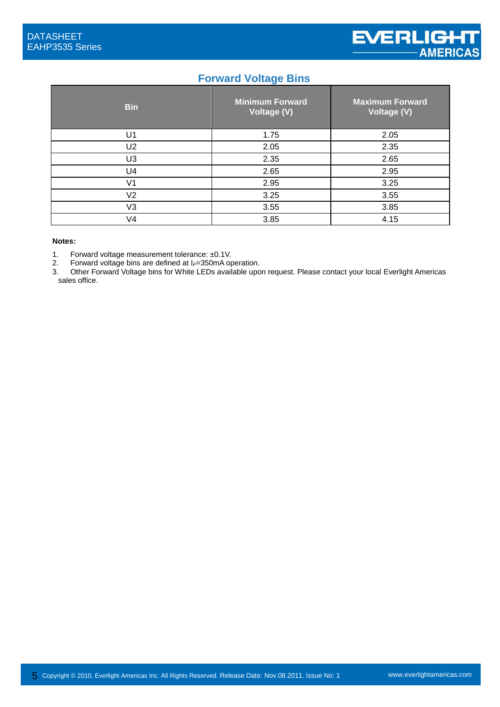#### **Forward Voltage Bins**

| <b>Bin</b>     | <b>Minimum Forward</b><br>Voltage (V) | <b>Maximum Forward</b><br>Voltage (V) |
|----------------|---------------------------------------|---------------------------------------|
| U1             | 1.75                                  | 2.05                                  |
| U2             | 2.05                                  | 2.35                                  |
| U <sub>3</sub> | 2.35                                  | 2.65                                  |
| U4             | 2.65                                  | 2.95                                  |
| V <sub>1</sub> | 2.95                                  | 3.25                                  |
| V2             | 3.25                                  | 3.55                                  |
| V3             | 3.55                                  | 3.85                                  |
| V4             | 3.85                                  | 4.15                                  |

#### **Notes:**

1. Forward voltage measurement tolerance:  $\pm 0.1$ V.<br>2. Forward voltage bins are defined at  $I = 350$ mA or

2. Forward voltage bins are defined at I<sub>*F*=350mA operation.<br>3. Other Forward Voltage bins for White LEDs available upo</sub>

Other Forward Voltage bins for White LEDs available upon request. Please contact your local Everlight Americas sales office.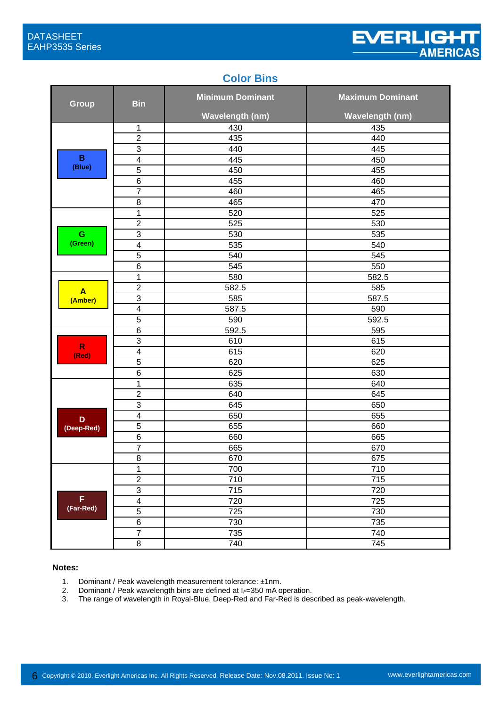#### **Color Bins**

| <b>Group</b>          | <b>Bin</b>               | <b>Minimum Dominant</b> | <b>Maximum Dominant</b> |
|-----------------------|--------------------------|-------------------------|-------------------------|
|                       |                          | <b>Wavelength (nm)</b>  | <b>Wavelength (nm)</b>  |
|                       | 1                        | 430                     | 435                     |
|                       | $\mathbf 2$              | 435                     | 440                     |
|                       | $\overline{3}$           | 440                     | 445                     |
| $\mathbf B$           | $\overline{\mathcal{A}}$ | 445                     | 450                     |
| (Blue)                | $\overline{5}$           | 450                     | 455                     |
|                       | $\,6$                    | 455                     | 460                     |
|                       | $\overline{7}$           | 460                     | 465                     |
|                       | 8                        | 465                     | 470                     |
|                       | $\mathbf 1$              | 520                     | 525                     |
|                       | $\overline{2}$           | 525                     | 530                     |
| G                     | $\overline{3}$           | 530                     | 535                     |
| (Green)               | $\overline{\mathbf{4}}$  | 535                     | 540                     |
|                       | 5                        | 540                     | 545                     |
|                       | $\,6$                    | 545                     | 550                     |
|                       | 1                        | 580                     | 582.5                   |
| $\blacktriangle$      | $\overline{2}$           | 582.5                   | 585                     |
| (Amber)               | $\sqrt{3}$               | 585                     | 587.5                   |
|                       | $\overline{4}$           | 587.5                   | 590                     |
|                       | $\overline{5}$           | 590                     | 592.5                   |
|                       | $\,6$                    | 592.5                   | 595                     |
|                       | $\sqrt{3}$               | 610                     | 615                     |
| $\mathsf{R}$<br>(Red) | $\overline{\mathbf{4}}$  | 615                     | 620                     |
|                       | 5                        | 620                     | 625                     |
|                       | $\,6$                    | 625                     | 630                     |
|                       | 1                        | 635                     | 640                     |
|                       | $\overline{2}$           | 640                     | 645                     |
|                       | $\overline{3}$           | 645                     | 650                     |
| D                     | $\overline{4}$           | 650                     | 655                     |
| (Deep-Red)            | $\overline{5}$           | 655                     | 660                     |
|                       | $\,6$                    | 660                     | 665                     |
|                       | $\overline{7}$           | 665                     | 670                     |
|                       | $\bf 8$                  | 670                     | 675                     |
|                       | 1                        | 700                     | 710                     |
|                       | $\boldsymbol{2}$         | 710                     | 715                     |
|                       | $\overline{3}$           | 715                     | 720                     |
| F                     | $\overline{4}$           | 720                     | 725                     |
| (Far-Red)             | $\overline{5}$           | 725                     | 730                     |
|                       | $\overline{6}$           | 730                     | 735                     |
|                       | $\overline{7}$           | 735                     | 740                     |
|                       | $\,8\,$                  | 740                     | 745                     |

#### **Notes:**

- 1. Dominant / Peak wavelength measurement tolerance: ±1nm.
- 2. Dominant / Peak wavelength bins are defined at I<sub>*F*</sub>=350 mA operation.<br>3. The range of wavelength in Royal-Blue, Deep-Red and Far-Red is des
- The range of wavelength in Royal-Blue, Deep-Red and Far-Red is described as peak-wavelength.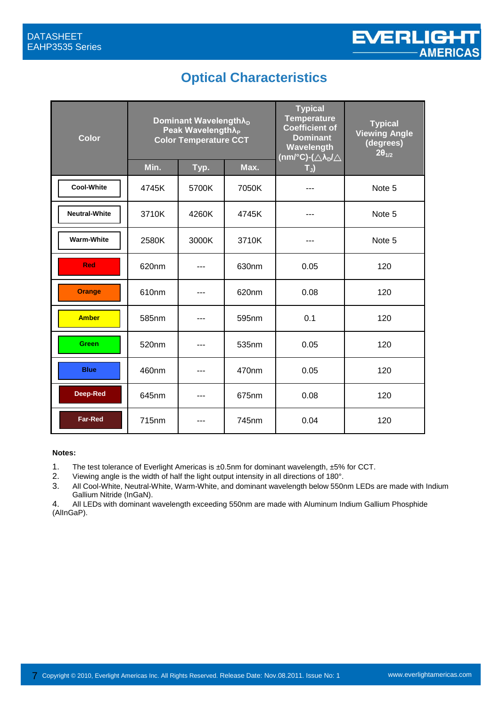### **Optical Characteristics**

| <b>Color</b>         | Dominant Wavelength $\lambda_{D}$<br>Peak Wavelength $\lambda_P$<br><b>Color Temperature CCT</b> |       | <b>Typical</b><br><b>Temperature</b><br><b>Coefficient of</b><br><b>Dominant</b><br>Wavelength<br>(nm/°C)-( $\triangle\lambda_D/\triangle$ | <b>Typical</b><br><b>Viewing Angle</b><br>(degrees)<br>$2\theta_{1/2}$ |        |
|----------------------|--------------------------------------------------------------------------------------------------|-------|--------------------------------------------------------------------------------------------------------------------------------------------|------------------------------------------------------------------------|--------|
|                      | Min.                                                                                             | Typ.  | Max.                                                                                                                                       | $T_{J}$                                                                |        |
| <b>Cool-White</b>    | 4745K                                                                                            | 5700K | 7050K                                                                                                                                      |                                                                        | Note 5 |
| <b>Neutral-White</b> | 3710K                                                                                            | 4260K | 4745K                                                                                                                                      |                                                                        | Note 5 |
| <b>Warm-White</b>    | 2580K                                                                                            | 3000K | 3710K                                                                                                                                      | ---                                                                    | Note 5 |
| <b>Red</b>           | 620nm                                                                                            | ---   | 630nm                                                                                                                                      | 0.05                                                                   | 120    |
| <b>Orange</b>        | 610nm                                                                                            |       | 620nm                                                                                                                                      | 0.08                                                                   | 120    |
| <b>Amber</b>         | 585nm                                                                                            | ---   | 595nm                                                                                                                                      | 0.1                                                                    | 120    |
| <b>Green</b>         | 520nm                                                                                            |       | 535nm                                                                                                                                      | 0.05                                                                   | 120    |
| <b>Blue</b>          | 460nm                                                                                            |       | 470 <sub>nm</sub>                                                                                                                          | 0.05                                                                   | 120    |
| Deep-Red             | 645nm                                                                                            |       | 675nm                                                                                                                                      | 0.08                                                                   | 120    |
| <b>Far-Red</b>       | 715nm                                                                                            |       | 745nm                                                                                                                                      | 0.04                                                                   | 120    |

#### **Notes:**

- 1. The test tolerance of Everlight Americas is ±0.5nm for dominant wavelength, ±5% for CCT.
- 2. Viewing angle is the width of half the light output intensity in all directions of 180°.
- 3. All Cool-White, Neutral-White, Warm-White, and dominant wavelength below 550nm LEDs are made with Indium Gallium Nitride (InGaN).

4. All LEDs with dominant wavelength exceeding 550nm are made with Aluminum Indium Gallium Phosphide (AlInGaP).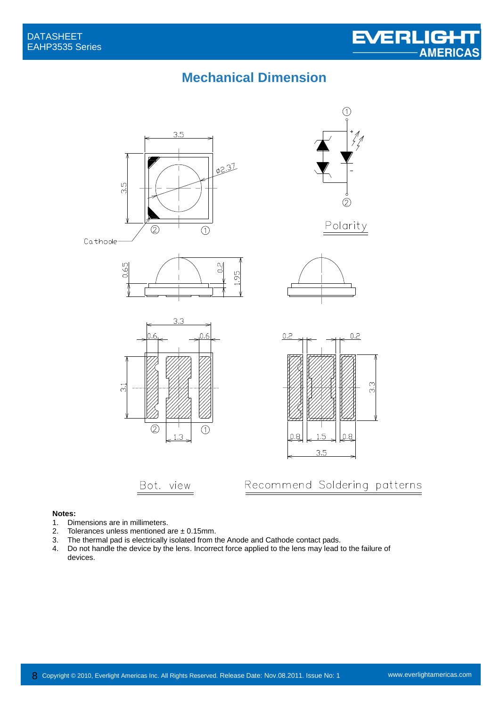### **Mechanical Dimension**



#### **Notes:**

- 1. Dimensions are in millimeters.<br>2. Tolerances unless mentioned a
- 2. Tolerances unless mentioned are  $\pm$  0.15mm.<br>3. The thermal pad is electrically isolated from the
- The thermal pad is electrically isolated from the Anode and Cathode contact pads.
- 4. Do not handle the device by the lens. Incorrect force applied to the lens may lead to the failure of devices.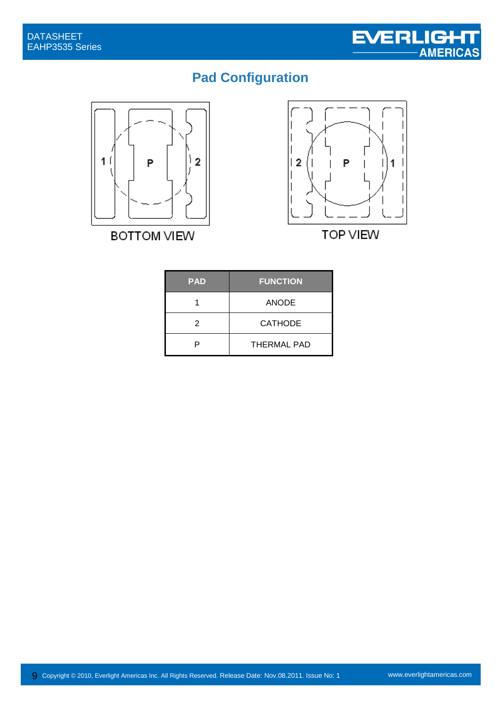# **Pad Configuration**



**BOTTOM VIEW** 



| <b>PAD</b> | <b>FUNCTION</b>    |
|------------|--------------------|
|            | <b>ANODE</b>       |
| 2          | <b>CATHODE</b>     |
| P          | <b>THERMAL PAD</b> |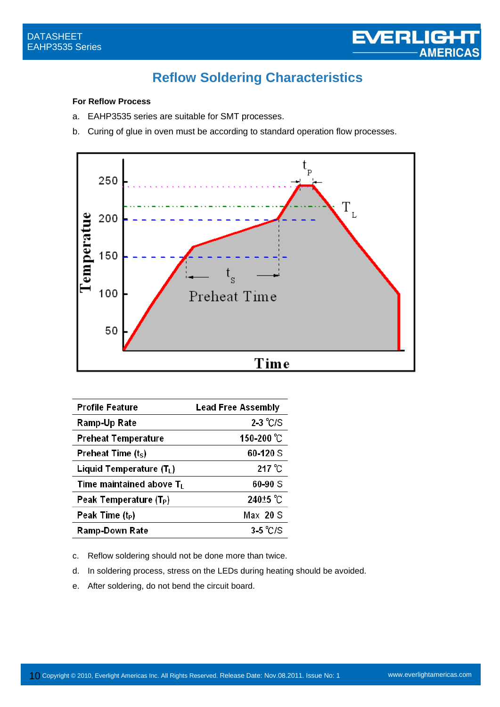### **Reflow Soldering Characteristics**

#### **For Reflow Process**

- a. EAHP3535 series are suitable for SMT processes.
- b. Curing of glue in oven must be according to standard operation flow processes.



| Profile Feature                      | <b>Lead Free Assembly</b> |
|--------------------------------------|---------------------------|
| Ramp-Up Rate                         | $2-3$ °C/S                |
| <b>Preheat Temperature</b>           | 150-200 °C                |
| Preheat Time $(tS)$                  | 60-120 S                  |
| Liquid Temperature (T <sub>L</sub> ) | $217^{\circ}$ C           |
| Time maintained above $T_L$          | 60-90 S                   |
| Peak Temperature (T <sub>P</sub> )   | 240 <sup>±5</sup> °C      |
| Peak Time $(t_P)$                    | Max 20 S                  |
| Ramp-Down Rate                       | $3-5$ °C/S                |

c. Reflow soldering should not be done more than twice.

- d. In soldering process, stress on the LEDs during heating should be avoided.
- e. After soldering, do not bend the circuit board.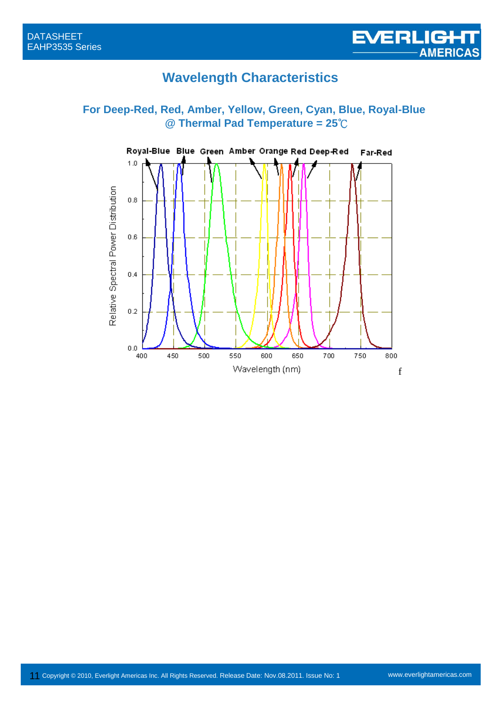### **Wavelength Characteristics**

#### **For Deep-Red, Red, Amber, Yellow, Green, Cyan, Blue, Royal-Blue @ Thermal Pad Temperature = 25**℃

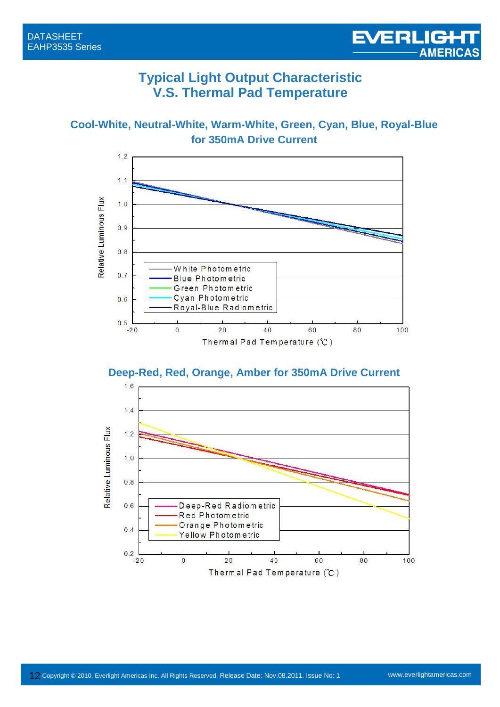#### **Typical Light Output Characteristic V.S. Thermal Pad Temperature**

**Cool-White, Neutral-White, Warm-White, Green, Cyan, Blue, Royal-Blue for 350mA Drive Current**



**Deep-Red, Red, Orange, Amber for 350mA Drive Current**

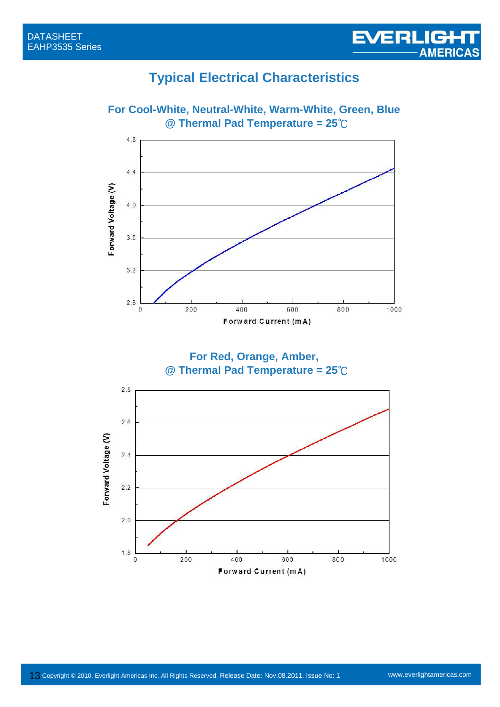### **Typical Electrical Characteristics**



Forward Current (mA)

**For Cool-White, Neutral-White, Warm-White, Green, Blue @ Thermal Pad Temperature = 25**℃

EVERLIGHT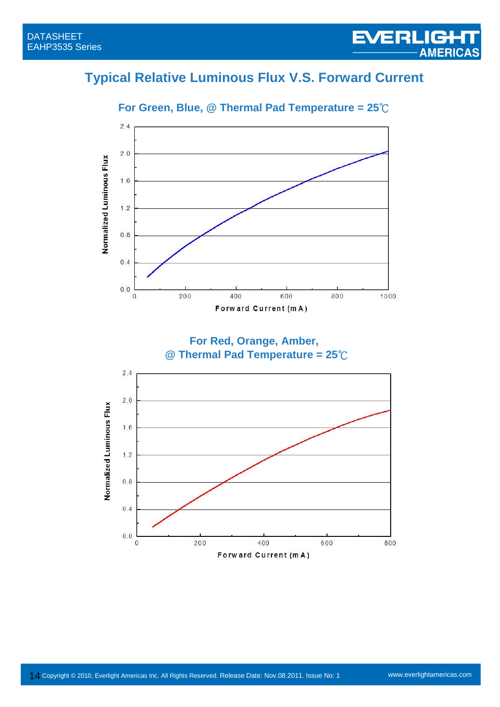# **Typical Relative Luminous Flux V.S. Forward Current**



**For Green, Blue, @ Thermal Pad Temperature = 25**℃

**For Red, Orange, Amber, @ Thermal Pad Temperature = 25**℃

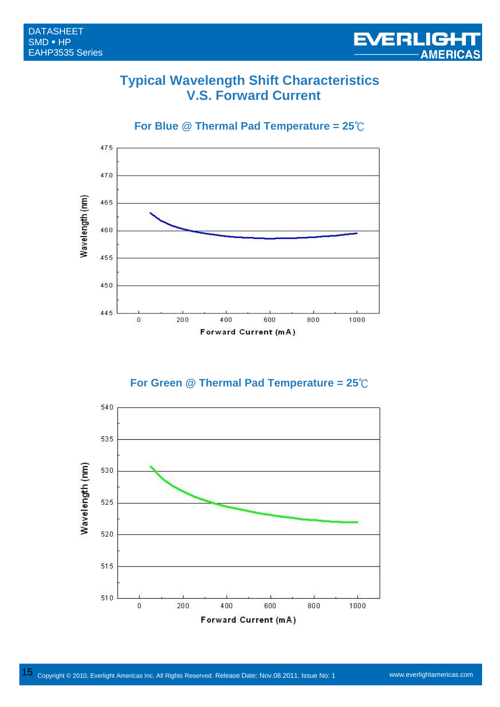#### **Typical Wavelength Shift Characteristics V.S. Forward Current**

**For Blue @ Thermal Pad Temperature = 25**℃



**For Green @ Thermal Pad Temperature = 25**℃

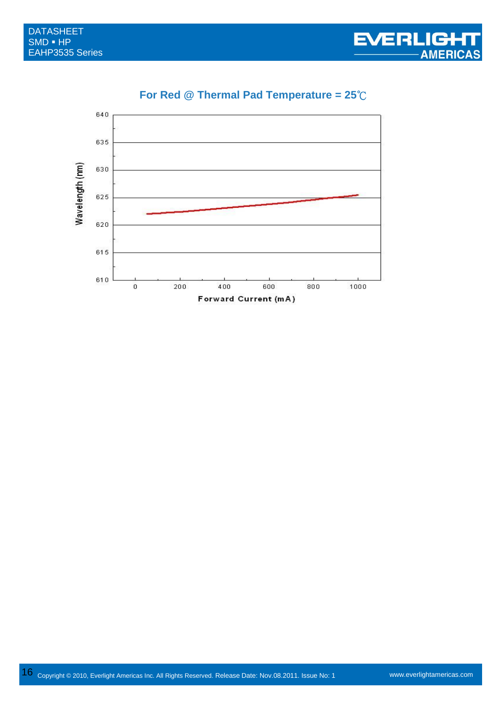

#### **For Red @ Thermal Pad Temperature = 25**℃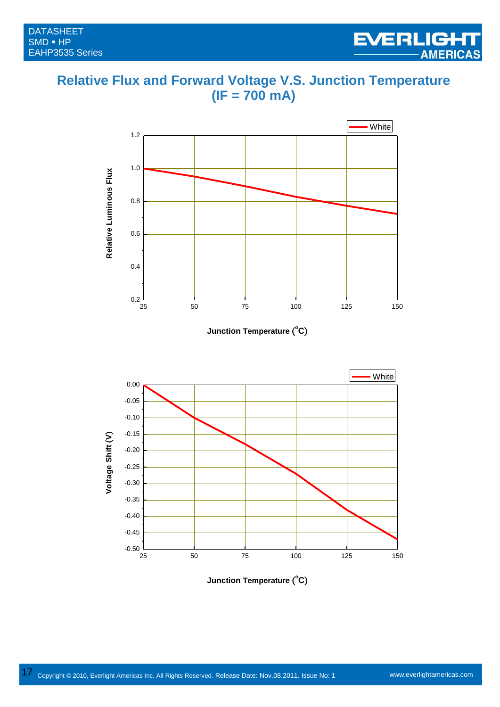

#### **Relative Flux and Forward Voltage V.S. Junction Temperature (IF = 700 mA)**

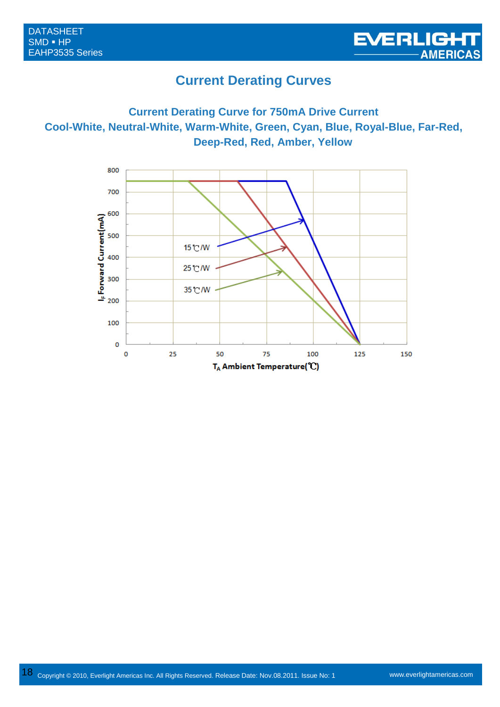

#### **Current Derating Curves**

#### **Current Derating Curve for 750mA Drive Current Cool-White, Neutral-White, Warm-White, Green, Cyan, Blue, Royal-Blue, Far-Red, Deep-Red, Red, Amber, Yellow**

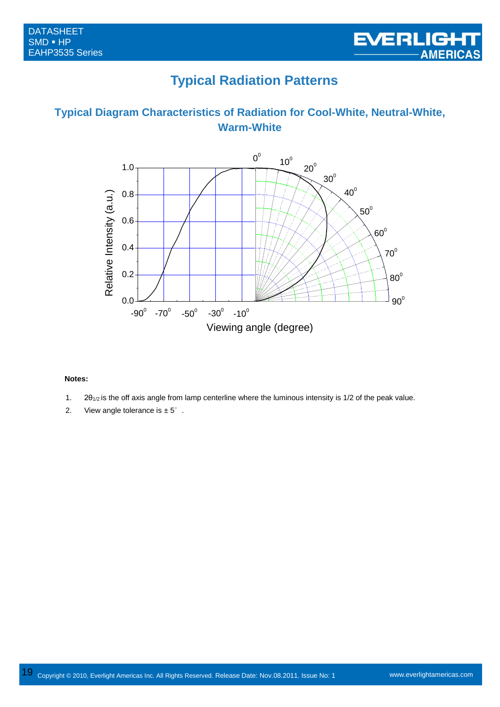## **Typical Radiation Patterns**

#### **Typical Diagram Characteristics of Radiation for Cool-White, Neutral-White, Warm-White**



#### **Notes:**

- 1.  $2\theta_{1/2}$  is the off axis angle from lamp centerline where the luminous intensity is 1/2 of the peak value.
- 2. View angle tolerance is  $\pm 5^\circ$ .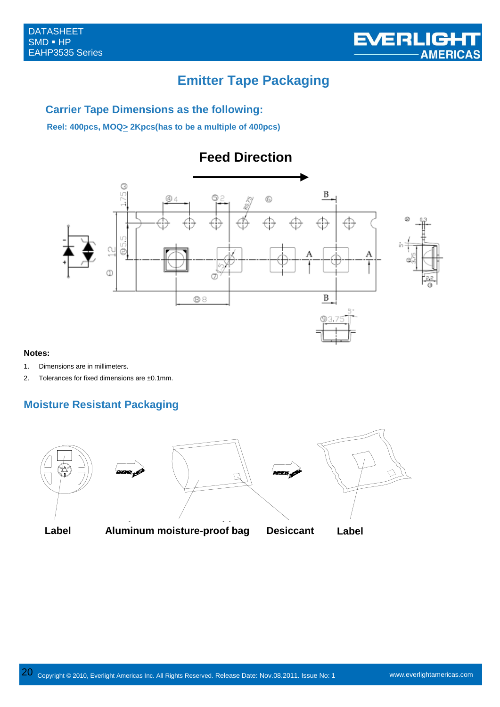### **Emitter Tape Packaging**

#### **Carrier Tape Dimensions as the following:**

**Reel: 400pcs, MOQ> 2Kpcs(has to be a multiple of 400pcs)**





#### **Notes:**

- 1. Dimensions are in millimeters.
- 2. Tolerances for fixed dimensions are ±0.1mm.

#### **Moisture Resistant Packaging**



Label Aluminum moistue-proof bag Desiccant Label **Label Aluminum moisture-proof bag Desiccant Label**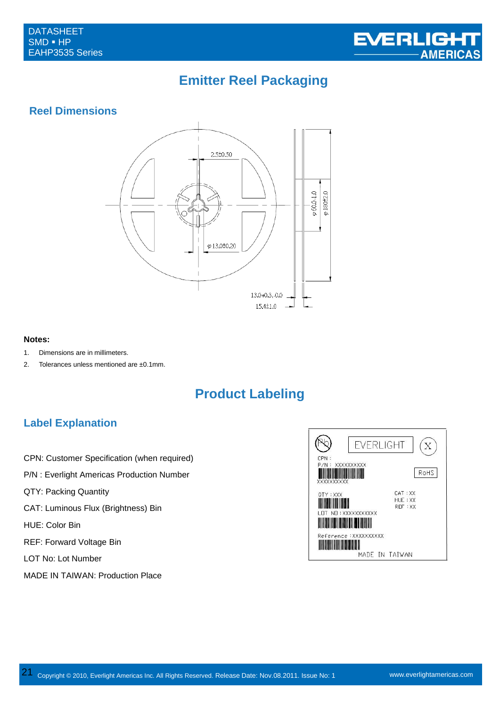

## **Emitter Reel Packaging**

#### **Reel Dimensions**



#### **Notes:**

- 1. Dimensions are in millimeters.
- 2. Tolerances unless mentioned are ±0.1mm.

### **Product Labeling**

#### **Label Explanation**

- CPN: Customer Specification (when required)
- P/N : Everlight Americas Production Number
- QTY: Packing Quantity
- CAT: Luminous Flux (Brightness) Bin

HUE: Color Bin

- REF: Forward Voltage Bin
- LOT No: Lot Number
- MADE IN TAIWAN: Production Place

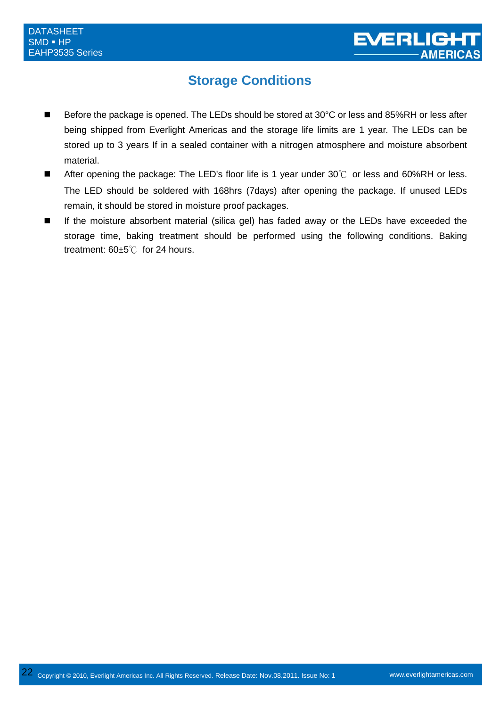### **Storage Conditions**

- Before the package is opened. The LEDs should be stored at 30°C or less and 85%RH or less after being shipped from Everlight Americas and the storage life limits are 1 year. The LEDs can be stored up to 3 years If in a sealed container with a nitrogen atmosphere and moisture absorbent material.
- After opening the package: The LED's floor life is 1 year under 30°C or less and 60%RH or less. The LED should be soldered with 168hrs (7days) after opening the package. If unused LEDs remain, it should be stored in moisture proof packages.
- If the moisture absorbent material (silica gel) has faded away or the LEDs have exceeded the storage time, baking treatment should be performed using the following conditions. Baking treatment: 60±5℃ for 24 hours.